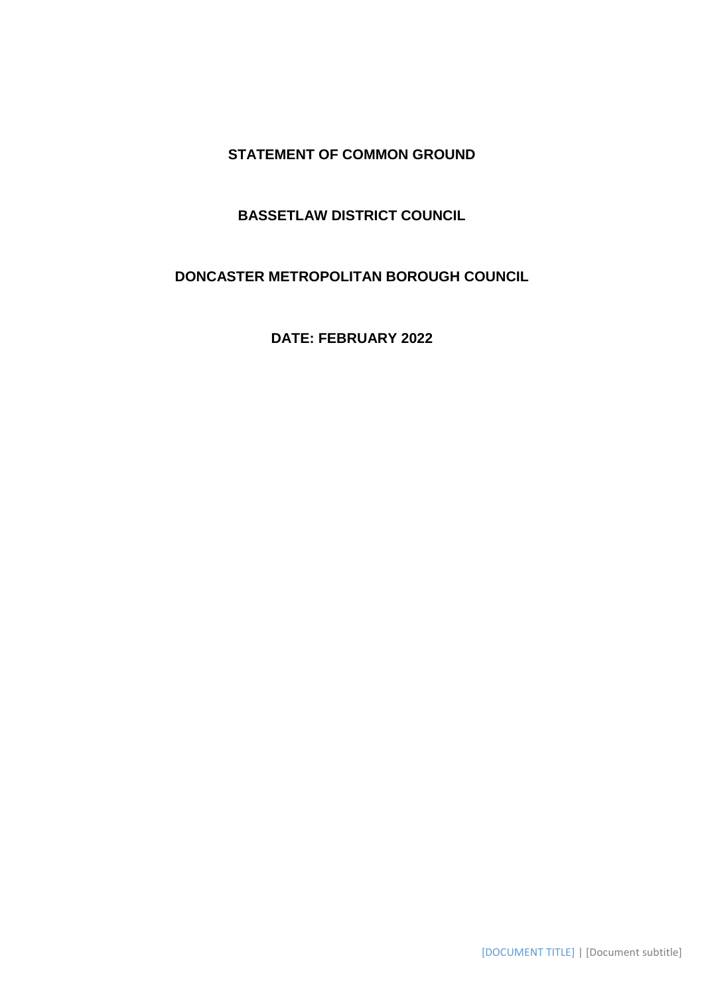# **STATEMENT OF COMMON GROUND**

# **BASSETLAW DISTRICT COUNCIL**

# **DONCASTER METROPOLITAN BOROUGH COUNCIL**

**DATE: FEBRUARY 2022**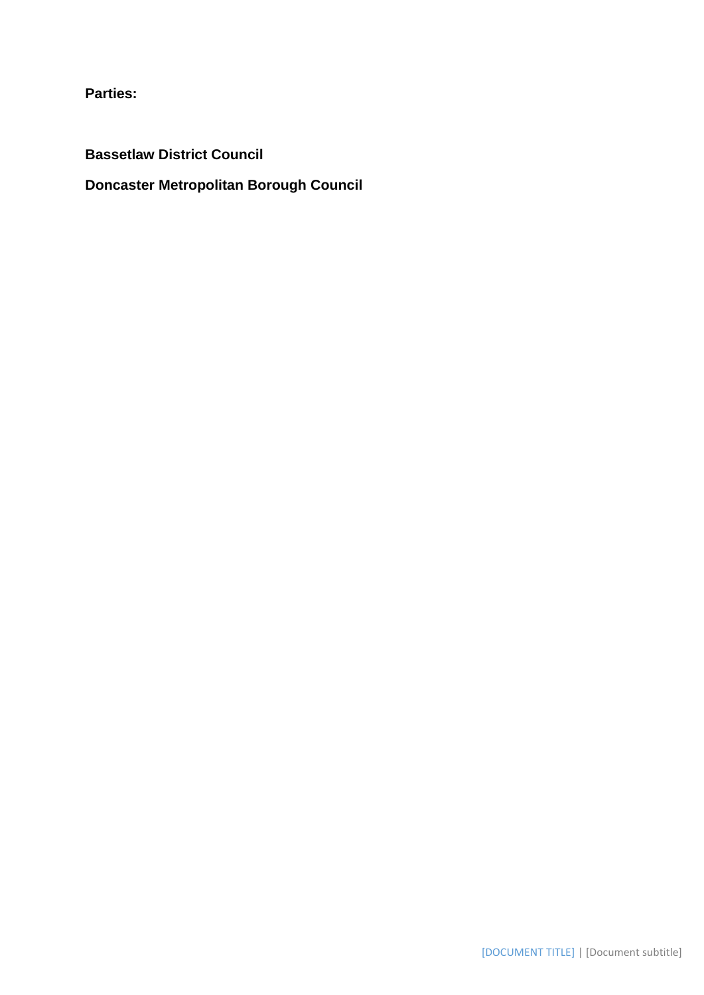**Parties:** 

**Bassetlaw District Council**

# **Doncaster Metropolitan Borough Council**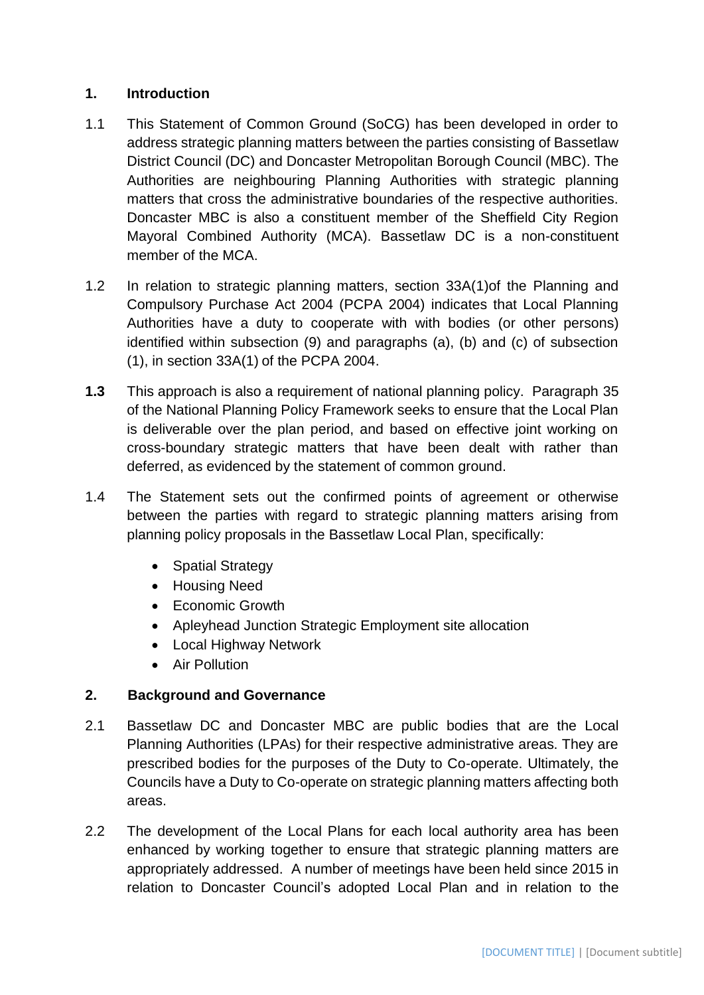## **1. Introduction**

- 1.1 This Statement of Common Ground (SoCG) has been developed in order to address strategic planning matters between the parties consisting of Bassetlaw District Council (DC) and Doncaster Metropolitan Borough Council (MBC). The Authorities are neighbouring Planning Authorities with strategic planning matters that cross the administrative boundaries of the respective authorities. Doncaster MBC is also a constituent member of the Sheffield City Region Mayoral Combined Authority (MCA). Bassetlaw DC is a non-constituent member of the MCA.
- 1.2 In relation to strategic planning matters, section 33A(1)of the Planning and Compulsory Purchase Act 2004 (PCPA 2004) indicates that Local Planning Authorities have a duty to cooperate with with bodies (or other persons) identified within subsection (9) and paragraphs (a), (b) and (c) of subsection (1), in section 33A(1) of the PCPA 2004.
- **1.3** This approach is also a requirement of national planning policy. Paragraph 35 of the National Planning Policy Framework seeks to ensure that the Local Plan is deliverable over the plan period, and based on effective joint working on cross-boundary strategic matters that have been dealt with rather than deferred, as evidenced by the statement of common ground.
- 1.4 The Statement sets out the confirmed points of agreement or otherwise between the parties with regard to strategic planning matters arising from planning policy proposals in the Bassetlaw Local Plan, specifically:
	- Spatial Strategy
	- Housing Need
	- Economic Growth
	- Apleyhead Junction Strategic Employment site allocation
	- Local Highway Network
	- Air Pollution

# **2. Background and Governance**

- 2.1 Bassetlaw DC and Doncaster MBC are public bodies that are the Local Planning Authorities (LPAs) for their respective administrative areas. They are prescribed bodies for the purposes of the Duty to Co-operate. Ultimately, the Councils have a Duty to Co-operate on strategic planning matters affecting both areas.
- 2.2 The development of the Local Plans for each local authority area has been enhanced by working together to ensure that strategic planning matters are appropriately addressed. A number of meetings have been held since 2015 in relation to Doncaster Council's adopted Local Plan and in relation to the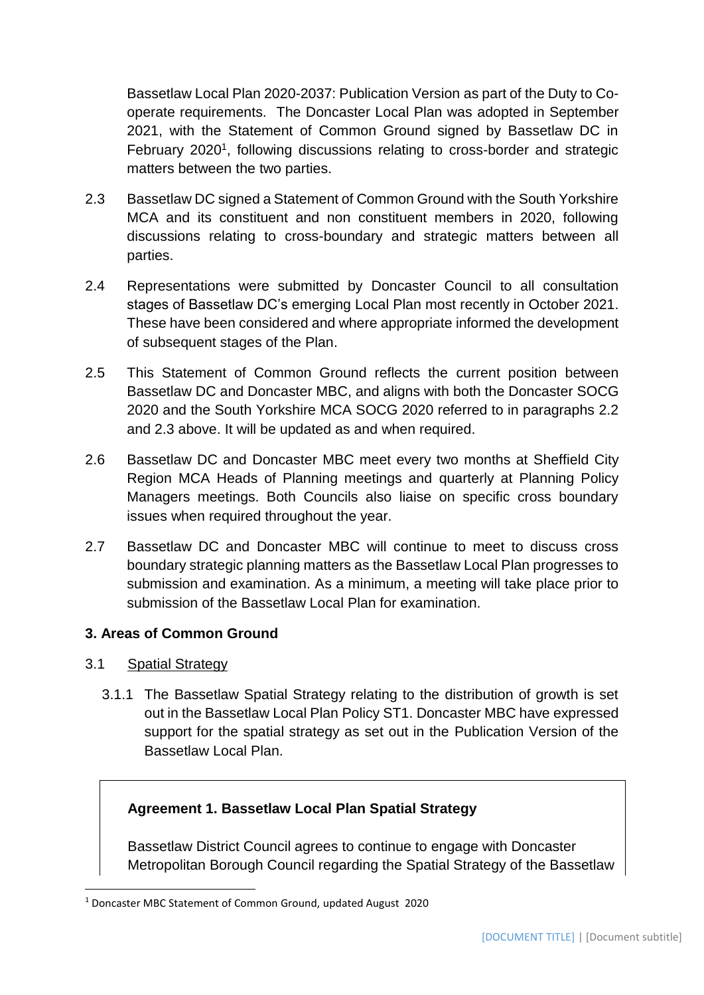Bassetlaw Local Plan 2020-2037: Publication Version as part of the Duty to Cooperate requirements. The Doncaster Local Plan was adopted in September 2021, with the Statement of Common Ground signed by Bassetlaw DC in February 2020<sup>1</sup>, following discussions relating to cross-border and strategic matters between the two parties.

- 2.3 Bassetlaw DC signed a Statement of Common Ground with the South Yorkshire MCA and its constituent and non constituent members in 2020, following discussions relating to cross-boundary and strategic matters between all parties.
- 2.4 Representations were submitted by Doncaster Council to all consultation stages of Bassetlaw DC's emerging Local Plan most recently in October 2021. These have been considered and where appropriate informed the development of subsequent stages of the Plan.
- 2.5 This Statement of Common Ground reflects the current position between Bassetlaw DC and Doncaster MBC, and aligns with both the Doncaster SOCG 2020 and the South Yorkshire MCA SOCG 2020 referred to in paragraphs 2.2 and 2.3 above. It will be updated as and when required.
- 2.6 Bassetlaw DC and Doncaster MBC meet every two months at Sheffield City Region MCA Heads of Planning meetings and quarterly at Planning Policy Managers meetings. Both Councils also liaise on specific cross boundary issues when required throughout the year.
- 2.7 Bassetlaw DC and Doncaster MBC will continue to meet to discuss cross boundary strategic planning matters as the Bassetlaw Local Plan progresses to submission and examination. As a minimum, a meeting will take place prior to submission of the Bassetlaw Local Plan for examination.

# **3. Areas of Common Ground**

### 3.1 Spatial Strategy

**.** 

3.1.1 The Bassetlaw Spatial Strategy relating to the distribution of growth is set out in the Bassetlaw Local Plan Policy ST1. Doncaster MBC have expressed support for the spatial strategy as set out in the Publication Version of the Bassetlaw Local Plan.

# **Agreement 1. Bassetlaw Local Plan Spatial Strategy**

Bassetlaw District Council agrees to continue to engage with Doncaster Metropolitan Borough Council regarding the Spatial Strategy of the Bassetlaw

<sup>1</sup> Doncaster MBC Statement of Common Ground, updated August 2020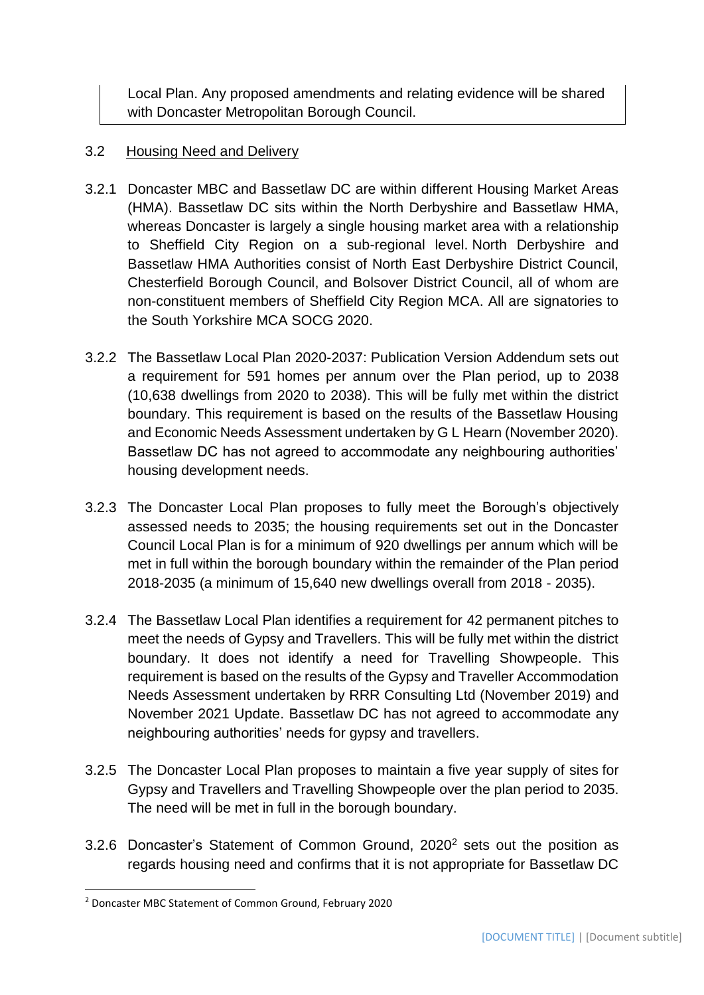Local Plan. Any proposed amendments and relating evidence will be shared with Doncaster Metropolitan Borough Council.

# 3.2 Housing Need and Delivery

- 3.2.1 Doncaster MBC and Bassetlaw DC are within different Housing Market Areas (HMA). Bassetlaw DC sits within the North Derbyshire and Bassetlaw HMA, whereas Doncaster is largely a single housing market area with a relationship to Sheffield City Region on a sub-regional level. North Derbyshire and Bassetlaw HMA Authorities consist of North East Derbyshire District Council, Chesterfield Borough Council, and Bolsover District Council, all of whom are non-constituent members of Sheffield City Region MCA. All are signatories to the South Yorkshire MCA SOCG 2020.
- 3.2.2 The Bassetlaw Local Plan 2020-2037: Publication Version Addendum sets out a requirement for 591 homes per annum over the Plan period, up to 2038 (10,638 dwellings from 2020 to 2038). This will be fully met within the district boundary. This requirement is based on the results of the Bassetlaw Housing and Economic Needs Assessment undertaken by G L Hearn (November 2020). Bassetlaw DC has not agreed to accommodate any neighbouring authorities' housing development needs.
- 3.2.3 The Doncaster Local Plan proposes to fully meet the Borough's objectively assessed needs to 2035; the housing requirements set out in the Doncaster Council Local Plan is for a minimum of 920 dwellings per annum which will be met in full within the borough boundary within the remainder of the Plan period 2018-2035 (a minimum of 15,640 new dwellings overall from 2018 - 2035).
- 3.2.4 The Bassetlaw Local Plan identifies a requirement for 42 permanent pitches to meet the needs of Gypsy and Travellers. This will be fully met within the district boundary. It does not identify a need for Travelling Showpeople. This requirement is based on the results of the Gypsy and Traveller Accommodation Needs Assessment undertaken by RRR Consulting Ltd (November 2019) and November 2021 Update. Bassetlaw DC has not agreed to accommodate any neighbouring authorities' needs for gypsy and travellers.
- 3.2.5 The Doncaster Local Plan proposes to maintain a five year supply of sites for Gypsy and Travellers and Travelling Showpeople over the plan period to 2035. The need will be met in full in the borough boundary.
- 3.2.6 Doncaster's Statement of Common Ground, 2020<sup>2</sup> sets out the position as regards housing need and confirms that it is not appropriate for Bassetlaw DC

**.** 

<sup>2</sup> Doncaster MBC Statement of Common Ground, February 2020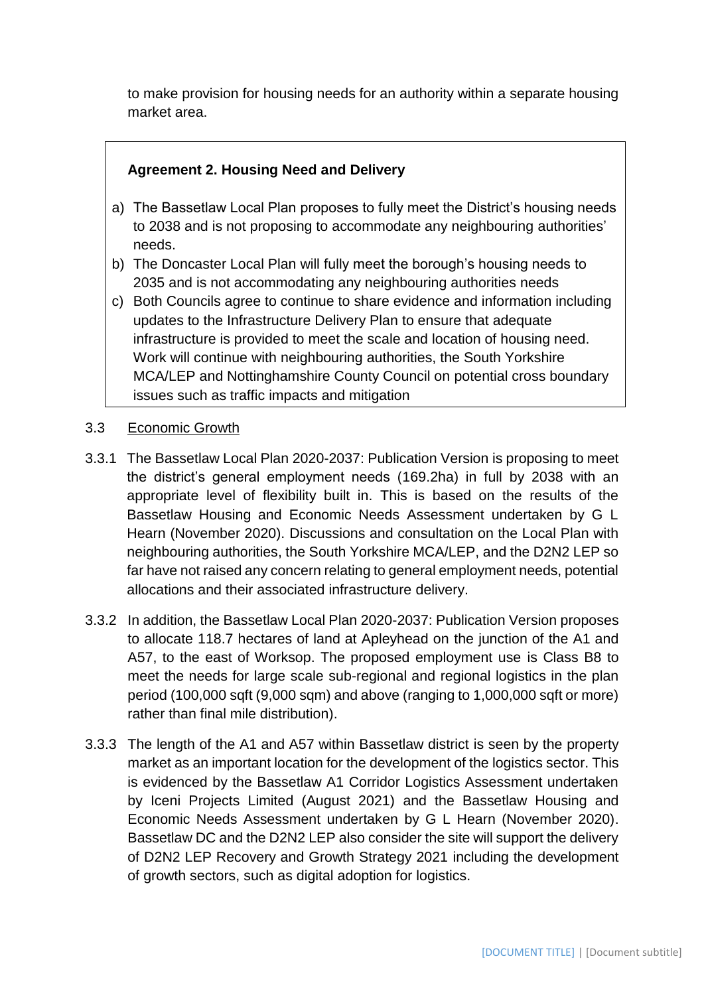to make provision for housing needs for an authority within a separate housing market area.

## **Agreement 2. Housing Need and Delivery**

- a) The Bassetlaw Local Plan proposes to fully meet the District's housing needs to 2038 and is not proposing to accommodate any neighbouring authorities' needs.
- b) The Doncaster Local Plan will fully meet the borough's housing needs to 2035 and is not accommodating any neighbouring authorities needs
- c) Both Councils agree to continue to share evidence and information including updates to the Infrastructure Delivery Plan to ensure that adequate infrastructure is provided to meet the scale and location of housing need. Work will continue with neighbouring authorities, the South Yorkshire MCA/LEP and Nottinghamshire County Council on potential cross boundary issues such as traffic impacts and mitigation

### 3.3 Economic Growth

- 3.3.1 The Bassetlaw Local Plan 2020-2037: Publication Version is proposing to meet the district's general employment needs (169.2ha) in full by 2038 with an appropriate level of flexibility built in. This is based on the results of the Bassetlaw Housing and Economic Needs Assessment undertaken by G L Hearn (November 2020). Discussions and consultation on the Local Plan with neighbouring authorities, the South Yorkshire MCA/LEP, and the D2N2 LEP so far have not raised any concern relating to general employment needs, potential allocations and their associated infrastructure delivery.
- 3.3.2 In addition, the Bassetlaw Local Plan 2020-2037: Publication Version proposes to allocate 118.7 hectares of land at Apleyhead on the junction of the A1 and A57, to the east of Worksop. The proposed employment use is Class B8 to meet the needs for large scale sub-regional and regional logistics in the plan period (100,000 sqft (9,000 sqm) and above (ranging to 1,000,000 sqft or more) rather than final mile distribution).
- 3.3.3 The length of the A1 and A57 within Bassetlaw district is seen by the property market as an important location for the development of the logistics sector. This is evidenced by the Bassetlaw A1 Corridor Logistics Assessment undertaken by Iceni Projects Limited (August 2021) and the Bassetlaw Housing and Economic Needs Assessment undertaken by G L Hearn (November 2020). Bassetlaw DC and the D2N2 LEP also consider the site will support the delivery of D2N2 LEP Recovery and Growth Strategy 2021 including the development of growth sectors, such as digital adoption for logistics.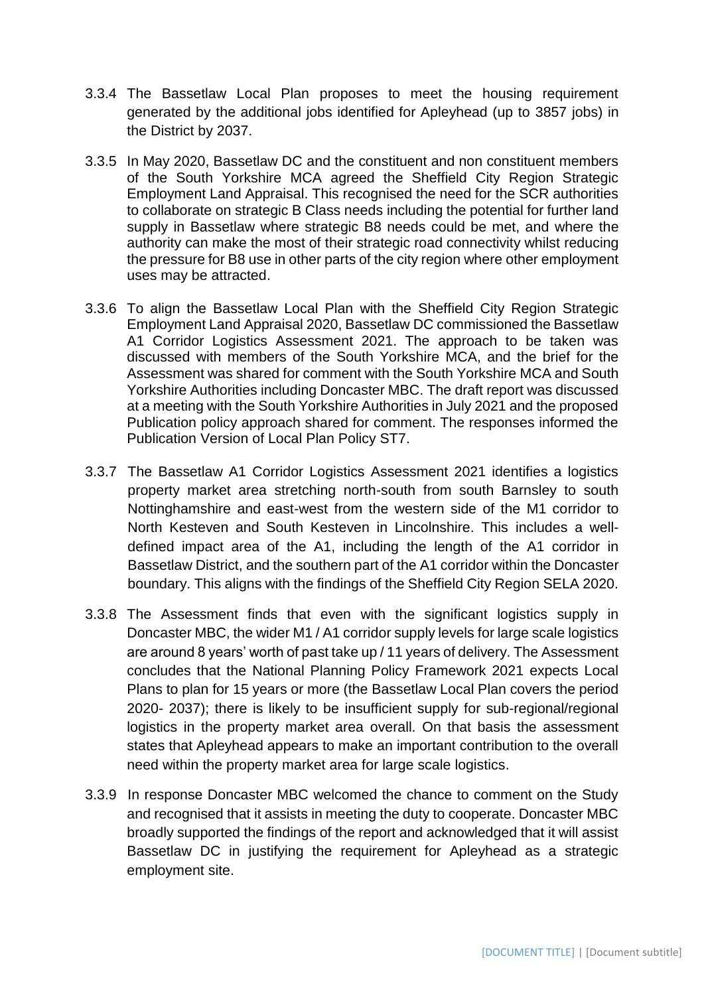- 3.3.4 The Bassetlaw Local Plan proposes to meet the housing requirement generated by the additional jobs identified for Apleyhead (up to 3857 jobs) in the District by 2037.
- 3.3.5 In May 2020, Bassetlaw DC and the constituent and non constituent members of the South Yorkshire MCA agreed the Sheffield City Region Strategic Employment Land Appraisal. This recognised the need for the SCR authorities to collaborate on strategic B Class needs including the potential for further land supply in Bassetlaw where strategic B8 needs could be met, and where the authority can make the most of their strategic road connectivity whilst reducing the pressure for B8 use in other parts of the city region where other employment uses may be attracted.
- 3.3.6 To align the Bassetlaw Local Plan with the Sheffield City Region Strategic Employment Land Appraisal 2020, Bassetlaw DC commissioned the Bassetlaw A1 Corridor Logistics Assessment 2021. The approach to be taken was discussed with members of the South Yorkshire MCA, and the brief for the Assessment was shared for comment with the South Yorkshire MCA and South Yorkshire Authorities including Doncaster MBC. The draft report was discussed at a meeting with the South Yorkshire Authorities in July 2021 and the proposed Publication policy approach shared for comment. The responses informed the Publication Version of Local Plan Policy ST7.
- 3.3.7 The Bassetlaw A1 Corridor Logistics Assessment 2021 identifies a logistics property market area stretching north-south from south Barnsley to south Nottinghamshire and east-west from the western side of the M1 corridor to North Kesteven and South Kesteven in Lincolnshire. This includes a welldefined impact area of the A1, including the length of the A1 corridor in Bassetlaw District, and the southern part of the A1 corridor within the Doncaster boundary. This aligns with the findings of the Sheffield City Region SELA 2020.
- 3.3.8 The Assessment finds that even with the significant logistics supply in Doncaster MBC, the wider M1 / A1 corridor supply levels for large scale logistics are around 8 years' worth of past take up / 11 years of delivery. The Assessment concludes that the National Planning Policy Framework 2021 expects Local Plans to plan for 15 years or more (the Bassetlaw Local Plan covers the period 2020- 2037); there is likely to be insufficient supply for sub-regional/regional logistics in the property market area overall. On that basis the assessment states that Apleyhead appears to make an important contribution to the overall need within the property market area for large scale logistics.
- 3.3.9 In response Doncaster MBC welcomed the chance to comment on the Study and recognised that it assists in meeting the duty to cooperate. Doncaster MBC broadly supported the findings of the report and acknowledged that it will assist Bassetlaw DC in justifying the requirement for Apleyhead as a strategic employment site.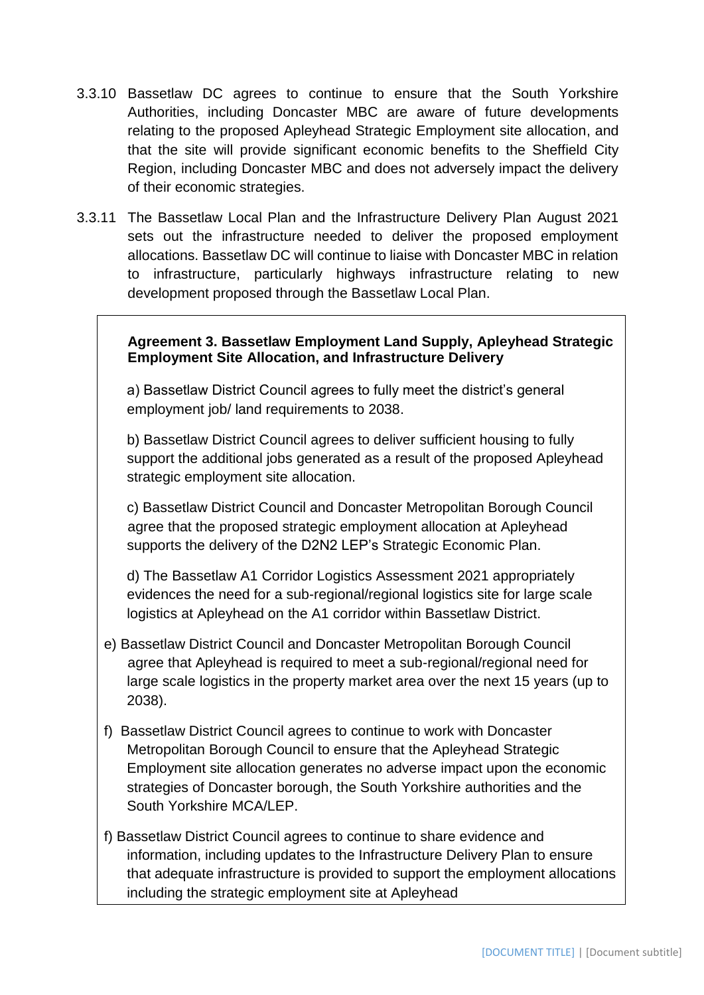- 3.3.10 Bassetlaw DC agrees to continue to ensure that the South Yorkshire Authorities, including Doncaster MBC are aware of future developments relating to the proposed Apleyhead Strategic Employment site allocation, and that the site will provide significant economic benefits to the Sheffield City Region, including Doncaster MBC and does not adversely impact the delivery of their economic strategies.
- 3.3.11 The Bassetlaw Local Plan and the Infrastructure Delivery Plan August 2021 sets out the infrastructure needed to deliver the proposed employment allocations. Bassetlaw DC will continue to liaise with Doncaster MBC in relation to infrastructure, particularly highways infrastructure relating to new development proposed through the Bassetlaw Local Plan.

## **Agreement 3. Bassetlaw Employment Land Supply, Apleyhead Strategic Employment Site Allocation, and Infrastructure Delivery**

a) Bassetlaw District Council agrees to fully meet the district's general employment job/ land requirements to 2038.

b) Bassetlaw District Council agrees to deliver sufficient housing to fully support the additional jobs generated as a result of the proposed Apleyhead strategic employment site allocation.

c) Bassetlaw District Council and Doncaster Metropolitan Borough Council agree that the proposed strategic employment allocation at Apleyhead supports the delivery of the D2N2 LEP's Strategic Economic Plan.

d) The Bassetlaw A1 Corridor Logistics Assessment 2021 appropriately evidences the need for a sub-regional/regional logistics site for large scale logistics at Apleyhead on the A1 corridor within Bassetlaw District.

- e) Bassetlaw District Council and Doncaster Metropolitan Borough Council agree that Apleyhead is required to meet a sub-regional/regional need for large scale logistics in the property market area over the next 15 years (up to 2038).
- f) Bassetlaw District Council agrees to continue to work with Doncaster Metropolitan Borough Council to ensure that the Apleyhead Strategic Employment site allocation generates no adverse impact upon the economic strategies of Doncaster borough, the South Yorkshire authorities and the South Yorkshire MCA/LEP.
- f) Bassetlaw District Council agrees to continue to share evidence and information, including updates to the Infrastructure Delivery Plan to ensure that adequate infrastructure is provided to support the employment allocations including the strategic employment site at Apleyhead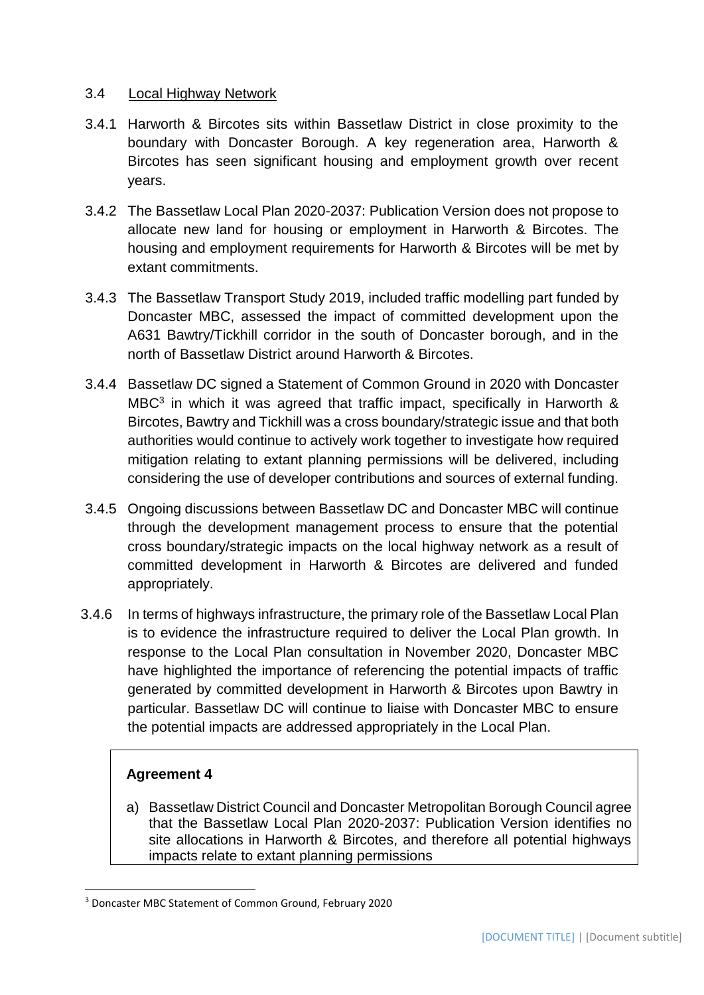### 3.4 Local Highway Network

- 3.4.1 Harworth & Bircotes sits within Bassetlaw District in close proximity to the boundary with Doncaster Borough. A key regeneration area, Harworth & Bircotes has seen significant housing and employment growth over recent years.
- 3.4.2 The Bassetlaw Local Plan 2020-2037: Publication Version does not propose to allocate new land for housing or employment in Harworth & Bircotes. The housing and employment requirements for Harworth & Bircotes will be met by extant commitments.
- 3.4.3 The Bassetlaw Transport Study 2019, included traffic modelling part funded by Doncaster MBC, assessed the impact of committed development upon the A631 Bawtry/Tickhill corridor in the south of Doncaster borough, and in the north of Bassetlaw District around Harworth & Bircotes.
- 3.4.4 Bassetlaw DC signed a Statement of Common Ground in 2020 with Doncaster MBC<sup>3</sup> in which it was agreed that traffic impact, specifically in Harworth & Bircotes, Bawtry and Tickhill was a cross boundary/strategic issue and that both authorities would continue to actively work together to investigate how required mitigation relating to extant planning permissions will be delivered, including considering the use of developer contributions and sources of external funding.
- 3.4.5 Ongoing discussions between Bassetlaw DC and Doncaster MBC will continue through the development management process to ensure that the potential cross boundary/strategic impacts on the local highway network as a result of committed development in Harworth & Bircotes are delivered and funded appropriately.
- 3.4.6 In terms of highways infrastructure, the primary role of the Bassetlaw Local Plan is to evidence the infrastructure required to deliver the Local Plan growth. In response to the Local Plan consultation in November 2020, Doncaster MBC have highlighted the importance of referencing the potential impacts of traffic generated by committed development in Harworth & Bircotes upon Bawtry in particular. Bassetlaw DC will continue to liaise with Doncaster MBC to ensure the potential impacts are addressed appropriately in the Local Plan.

# **Agreement 4**

**.** 

a) Bassetlaw District Council and Doncaster Metropolitan Borough Council agree that the Bassetlaw Local Plan 2020-2037: Publication Version identifies no site allocations in Harworth & Bircotes, and therefore all potential highways impacts relate to extant planning permissions

<sup>3</sup> Doncaster MBC Statement of Common Ground, February 2020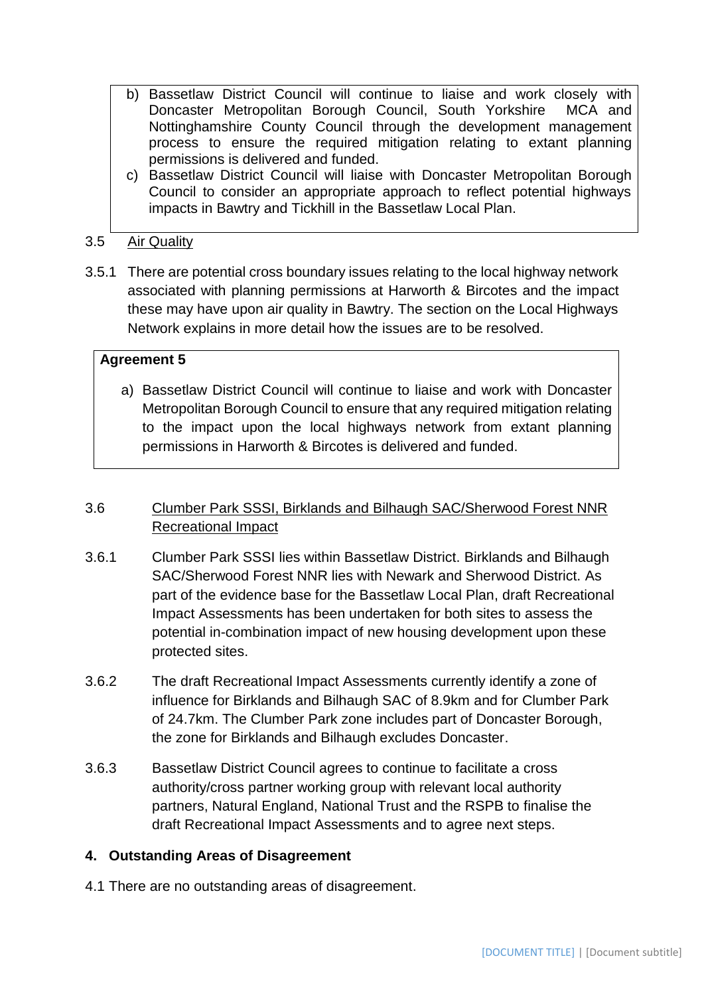- b) Bassetlaw District Council will continue to liaise and work closely with Doncaster Metropolitan Borough Council, South Yorkshire MCA and Nottinghamshire County Council through the development management process to ensure the required mitigation relating to extant planning permissions is delivered and funded.
- c) Bassetlaw District Council will liaise with Doncaster Metropolitan Borough Council to consider an appropriate approach to reflect potential highways impacts in Bawtry and Tickhill in the Bassetlaw Local Plan.

## 3.5 Air Quality

3.5.1 There are potential cross boundary issues relating to the local highway network associated with planning permissions at Harworth & Bircotes and the impact these may have upon air quality in Bawtry. The section on the Local Highways Network explains in more detail how the issues are to be resolved.

### **Agreement 5**

a) Bassetlaw District Council will continue to liaise and work with Doncaster Metropolitan Borough Council to ensure that any required mitigation relating to the impact upon the local highways network from extant planning permissions in Harworth & Bircotes is delivered and funded.

# 3.6 Clumber Park SSSI, Birklands and Bilhaugh SAC/Sherwood Forest NNR Recreational Impact

- 3.6.1 Clumber Park SSSI lies within Bassetlaw District. Birklands and Bilhaugh SAC/Sherwood Forest NNR lies with Newark and Sherwood District. As part of the evidence base for the Bassetlaw Local Plan, draft Recreational Impact Assessments has been undertaken for both sites to assess the potential in-combination impact of new housing development upon these protected sites.
- 3.6.2 The draft Recreational Impact Assessments currently identify a zone of influence for Birklands and Bilhaugh SAC of 8.9km and for Clumber Park of 24.7km. The Clumber Park zone includes part of Doncaster Borough, the zone for Birklands and Bilhaugh excludes Doncaster.
- 3.6.3 Bassetlaw District Council agrees to continue to facilitate a cross authority/cross partner working group with relevant local authority partners, Natural England, National Trust and the RSPB to finalise the draft Recreational Impact Assessments and to agree next steps.

### **4. Outstanding Areas of Disagreement**

4.1 There are no outstanding areas of disagreement.